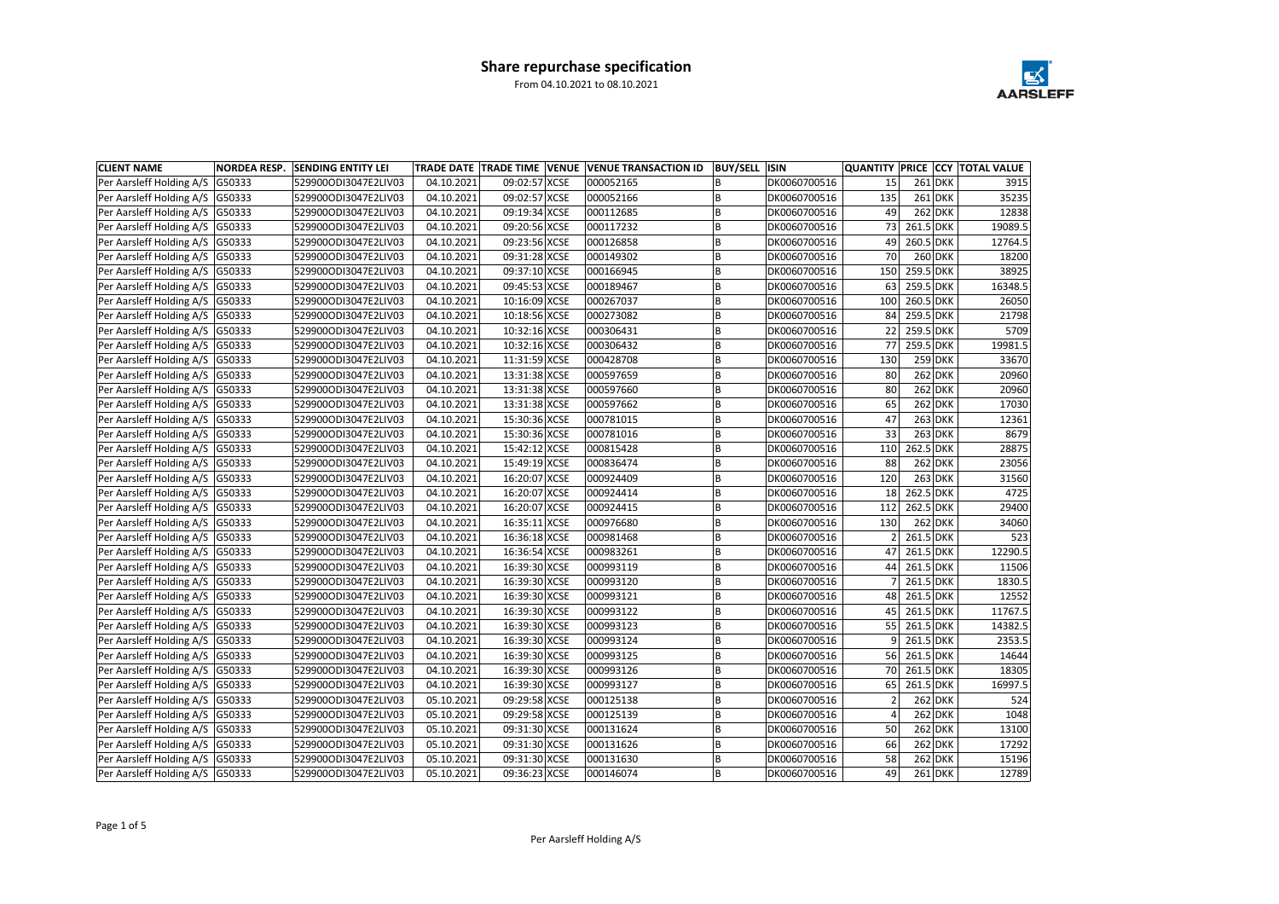| <b>CLIENT NAME</b>                | <b>NORDEA RESP.</b> | <b>SENDING ENTITY LEI</b> |            |               | TRADE DATE TRADE TIME VENUE VENUE TRANSACTION ID | <b>BUY/SELL ISIN</b> |              |     |              | <b>QUANTITY PRICE CCY TOTAL VALUE</b> |
|-----------------------------------|---------------------|---------------------------|------------|---------------|--------------------------------------------------|----------------------|--------------|-----|--------------|---------------------------------------|
| Per Aarsleff Holding A/S   G50333 |                     | 529900ODI3047E2LIV03      | 04.10.2021 | 09:02:57 XCSE | 000052165                                        |                      | DK0060700516 | 15  | $261$ DKK    | 3915                                  |
| Per Aarsleff Holding A/S G50333   |                     | 529900ODI3047E2LIV03      | 04.10.2021 | 09:02:57 XCSE | 000052166                                        | В                    | DK0060700516 | 135 | $261$ DKK    | 35235                                 |
| Per Aarsleff Holding A/S   G50333 |                     | 529900ODI3047E2LIV03      | 04.10.2021 | 09:19:34 XCSE | 000112685                                        |                      | DK0060700516 | 49  | $262$ DKK    | 12838                                 |
| Per Aarsleff Holding A/S   G50333 |                     | 529900ODI3047E2LIV03      | 04.10.2021 | 09:20:56 XCSE | 000117232                                        |                      | DK0060700516 | 73  | 261.5 DKK    | 19089.5                               |
| Per Aarsleff Holding A/S   G50333 |                     | 529900ODI3047E2LIV03      | 04.10.2021 | 09:23:56 XCSE | 000126858                                        | B                    | DK0060700516 | 49  | 260.5 DKK    | 12764.5                               |
| Per Aarsleff Holding A/S G50333   |                     | 529900ODI3047E2LIV03      | 04.10.2021 | 09:31:28 XCSE | 000149302                                        |                      | DK0060700516 | 70  | $260$ DKK    | 18200                                 |
| Per Aarsleff Holding A/S   G50333 |                     | 529900ODI3047E2LIV03      | 04.10.2021 | 09:37:10 XCSE | 000166945                                        |                      | DK0060700516 | 150 | 259.5 DKK    | 38925                                 |
| Per Aarsleff Holding A/S G50333   |                     | 529900ODI3047E2LIV03      | 04.10.2021 | 09:45:53 XCSE | 000189467                                        |                      | DK0060700516 | 63  | 259.5 DKK    | 16348.5                               |
| Per Aarsleff Holding A/S   G50333 |                     | 529900ODI3047E2LIV03      | 04.10.2021 | 10:16:09 XCSE | 000267037                                        | B                    | DK0060700516 | 100 | $260.5$ DKK  | 26050                                 |
| Per Aarsleff Holding A/S G50333   |                     | 529900ODI3047E2LIV03      | 04.10.2021 | 10:18:56 XCSE | 000273082                                        | В                    | DK0060700516 | 84  | 259.5 DKK    | 21798                                 |
| Per Aarsleff Holding A/S G50333   |                     | 529900ODI3047E2LIV03      | 04.10.2021 | 10:32:16 XCSE | 000306431                                        |                      | DK0060700516 | 22  | 259.5 DKK    | 5709                                  |
| Per Aarsleff Holding A/S   G50333 |                     | 529900ODI3047E2LIV03      | 04.10.2021 | 10:32:16 XCSE | 000306432                                        | B                    | DK0060700516 | 77  | 259.5 DKK    | 19981.5                               |
| Per Aarsleff Holding A/S G50333   |                     | 529900ODI3047E2LIV03      | 04.10.2021 | 11:31:59 XCSE | 000428708                                        | B                    | DK0060700516 | 130 | $259$ DKK    | 33670                                 |
| Per Aarsleff Holding A/S   G50333 |                     | 529900ODI3047E2LIV03      | 04.10.2021 | 13:31:38 XCSE | 000597659                                        | B                    | DK0060700516 | 80  | $262$ DKK    | 20960                                 |
| Per Aarsleff Holding A/S G50333   |                     | 529900ODI3047E2LIV03      | 04.10.2021 | 13:31:38 XCSE | 000597660                                        | В                    | DK0060700516 | 80  | $262$ DKK    | 20960                                 |
| Per Aarsleff Holding A/S   G50333 |                     | 529900ODI3047E2LIV03      | 04.10.2021 | 13:31:38 XCSE | 000597662                                        |                      | DK0060700516 | 65  | $262$ DKK    | 17030                                 |
| Per Aarsleff Holding A/S   G50333 |                     | 529900ODI3047E2LIV03      | 04.10.2021 | 15:30:36 XCSE | 000781015                                        | B                    | DK0060700516 | 47  | $263$ DKK    | 12361                                 |
| Per Aarsleff Holding A/S   G50333 |                     | 529900ODI3047E2LIV03      | 04.10.2021 | 15:30:36 XCSE | 000781016                                        | B                    | DK0060700516 | 33  | $263$ DKK    | 8679                                  |
| Per Aarsleff Holding A/S G50333   |                     | 529900ODI3047E2LIV03      | 04.10.2021 | 15:42:12 XCSE | 000815428                                        |                      | DK0060700516 | 110 | 262.5 DKK    | 28875                                 |
| Per Aarsleff Holding A/S   G50333 |                     | 529900ODI3047E2LIV03      | 04.10.2021 | 15:49:19 XCSE | 000836474                                        |                      | DK0060700516 | 88  | $262$ DKK    | 23056                                 |
| Per Aarsleff Holding A/S   G50333 |                     | 529900ODI3047E2LIV03      | 04.10.2021 | 16:20:07 XCSE | 000924409                                        |                      | DK0060700516 | 120 | $263$ DKK    | 31560                                 |
| Per Aarsleff Holding A/S   G50333 |                     | 529900ODI3047E2LIV03      | 04.10.2021 | 16:20:07 XCSE | 000924414                                        | В                    | DK0060700516 | 18  | 262.5 DKK    | 4725                                  |
| Per Aarsleff Holding A/S G50333   |                     | 529900ODI3047E2LIV03      | 04.10.2021 | 16:20:07 XCSE | 000924415                                        | В                    | DK0060700516 | 112 | 262.5 DKK    | 29400                                 |
| Per Aarsleff Holding A/S   G50333 |                     | 529900ODI3047E2LIV03      | 04.10.2021 | 16:35:11 XCSE | 000976680                                        |                      | DK0060700516 | 130 | $262$ DKK    | 34060                                 |
| Per Aarsleff Holding A/S   G50333 |                     | 529900ODI3047E2LIV03      | 04.10.2021 | 16:36:18 XCSE | 000981468                                        | B                    | DK0060700516 |     | 261.5 DKK    | 523                                   |
| Per Aarsleff Holding A/S   G50333 |                     | 529900ODI3047E2LIV03      | 04.10.2021 | 16:36:54 XCSE | 000983261                                        | B                    | DK0060700516 | 47  | 261.5 DKK    | 12290.5                               |
| Per Aarsleff Holding A/S   G50333 |                     | 529900ODI3047E2LIV03      | 04.10.2021 | 16:39:30 XCSE | 000993119                                        | B                    | DK0060700516 | 44  | $261.5$ DKK  | 11506                                 |
| Per Aarsleff Holding A/S G50333   |                     | 529900ODI3047E2LIV03      | 04.10.2021 | 16:39:30 XCSE | 000993120                                        |                      | DK0060700516 |     | 261.5 DKK    | 1830.5                                |
| Per Aarsleff Holding A/S G50333   |                     | 529900ODI3047E2LIV03      | 04.10.2021 | 16:39:30 XCSE | 000993121                                        | В                    | DK0060700516 | 48  | 261.5 DKK    | 12552                                 |
| Per Aarsleff Holding A/S   G50333 |                     | 529900ODI3047E2LIV03      | 04.10.2021 | 16:39:30 XCSE | 000993122                                        |                      | DK0060700516 | 45  | $261.5$ DKK  | 11767.5                               |
| Per Aarsleff Holding A/S   G50333 |                     | 529900ODI3047E2LIV03      | 04.10.2021 | 16:39:30 XCSE | 000993123                                        | В                    | DK0060700516 |     | 55 261.5 DKK | 14382.5                               |
| Per Aarsleff Holding A/S   G50333 |                     | 529900ODI3047E2LIV03      | 04.10.2021 | 16:39:30 XCSE | 000993124                                        |                      | DK0060700516 | 9   | 261.5 DKK    | 2353.5                                |
| Per Aarsleff Holding A/S   G50333 |                     | 529900ODI3047E2LIV03      | 04.10.2021 | 16:39:30 XCSE | 000993125                                        | B                    | DK0060700516 | 56  | 261.5 DKK    | 14644                                 |
| Per Aarsleff Holding A/S G50333   |                     | 529900ODI3047E2LIV03      | 04.10.2021 | 16:39:30 XCSE | 000993126                                        | В                    | DK0060700516 | 70  | 261.5 DKK    | 18305                                 |
| Per Aarsleff Holding A/S G50333   |                     | 529900ODI3047E2LIV03      | 04.10.2021 | 16:39:30 XCSE | 000993127                                        | В                    | DK0060700516 | 65  | 261.5 DKK    | 16997.5                               |
| Per Aarsleff Holding A/S   G50333 |                     | 529900ODI3047E2LIV03      | 05.10.2021 | 09:29:58 XCSE | 000125138                                        | B                    | DK0060700516 |     | $262$ DKK    | 524                                   |
| Per Aarsleff Holding A/S G50333   |                     | 529900ODI3047E2LIV03      | 05.10.2021 | 09:29:58 XCSE | 000125139                                        | B                    | DK0060700516 | Δ   | $262$ DKK    | 1048                                  |
| Per Aarsleff Holding A/S   G50333 |                     | 529900ODI3047E2LIV03      | 05.10.2021 | 09:31:30 XCSE | 000131624                                        | В                    | DK0060700516 | 50  | $262$ DKK    | 13100                                 |
| Per Aarsleff Holding A/S   G50333 |                     | 529900ODI3047E2LIV03      | 05.10.2021 | 09:31:30 XCSE | 000131626                                        | B                    | DK0060700516 | 66  | $262$ DKK    | 17292                                 |
| Per Aarsleff Holding A/S G50333   |                     | 529900ODI3047E2LIV03      | 05.10.2021 | 09:31:30 XCSE | 000131630                                        | B                    | DK0060700516 | 58  | $262$ DKK    | 15196                                 |
| Per Aarsleff Holding A/S G50333   |                     | 529900ODI3047E2LIV03      | 05.10.2021 | 09:36:23 XCSE | 000146074                                        | В                    | DK0060700516 | 49  | $261$ DKK    | 12789                                 |

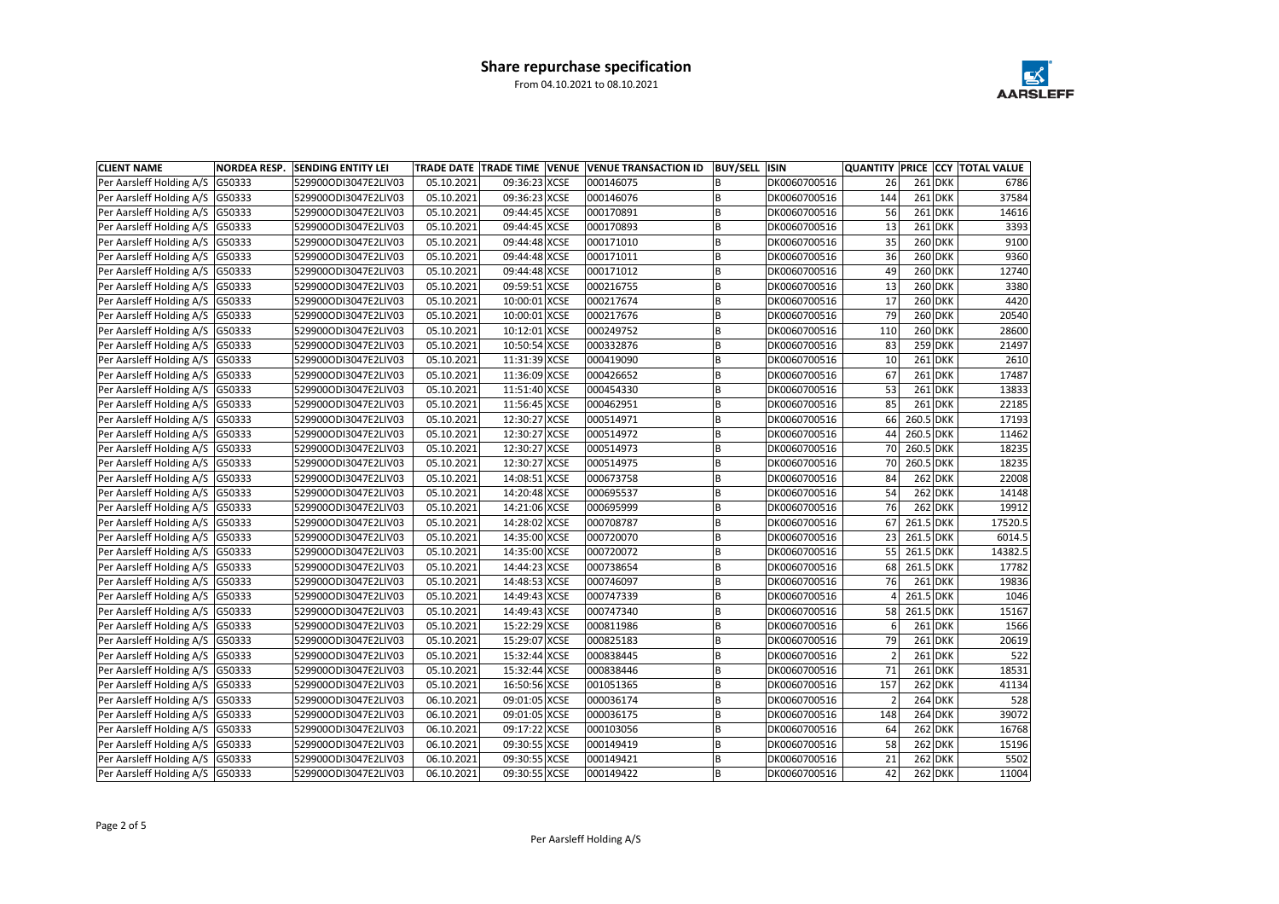| <b>CLIENT NAME</b>                | <b>NORDEA RESP.</b> | <b>SENDING ENTITY LEI</b> |            |               | TRADE DATE TRADE TIME VENUE VENUE TRANSACTION ID | BUY/SELL  ISIN |              |           |           | QUANTITY PRICE CCY TOTAL VALUE |
|-----------------------------------|---------------------|---------------------------|------------|---------------|--------------------------------------------------|----------------|--------------|-----------|-----------|--------------------------------|
| Per Aarsleff Holding A/S G50333   |                     | 529900ODI3047E2LIV03      | 05.10.2021 | 09:36:23 XCSE | 000146075                                        |                | DK0060700516 | <b>26</b> | $261$ DKK | 6786                           |
| Per Aarsleff Holding A/S   G50333 |                     | 529900ODI3047E2LIV03      | 05.10.2021 | 09:36:23 XCSE | 000146076                                        |                | DK0060700516 | 144       | $261$ DKK | 37584                          |
| Per Aarsleff Holding A/S   G50333 |                     | 529900ODI3047E2LIV03      | 05.10.2021 | 09:44:45 XCSE | 000170891                                        |                | DK0060700516 | 56        | $261$ DKK | 14616                          |
| Per Aarsleff Holding A/S   G50333 |                     | 529900ODI3047E2LIV03      | 05.10.2021 | 09:44:45 XCSE | 000170893                                        |                | DK0060700516 | 13        | $261$ DKK | 3393                           |
| Per Aarsleff Holding A/S   G50333 |                     | 529900ODI3047E2LIV03      | 05.10.2021 | 09:44:48 XCSE | 000171010                                        | В              | DK0060700516 | 35        | $260$ DKK | 9100                           |
| Per Aarsleff Holding A/S G50333   |                     | 529900ODI3047E2LIV03      | 05.10.2021 | 09:44:48 XCSE | 000171011                                        |                | DK0060700516 | 36        | $260$ DKK | 9360                           |
| Per Aarsleff Holding A/S   G50333 |                     | 529900ODI3047E2LIV03      | 05.10.2021 | 09:44:48 XCSE | 000171012                                        |                | DK0060700516 | 49        | $260$ DKK | 12740                          |
| Per Aarsleff Holding A/S   G50333 |                     | 529900ODI3047E2LIV03      | 05.10.2021 | 09:59:51 XCSE | 000216755                                        | В              | DK0060700516 | 13        | $260$ DKK | 3380                           |
| Per Aarsleff Holding A/S G50333   |                     | 529900ODI3047E2LIV03      | 05.10.2021 | 10:00:01 XCSE | 000217674                                        |                | DK0060700516 | 17        | $260$ DKK | 4420                           |
| Per Aarsleff Holding A/S   G50333 |                     | 529900ODI3047E2LIV03      | 05.10.2021 | 10:00:01 XCSE | 000217676                                        |                | DK0060700516 | 79        | $260$ DKK | 20540                          |
| Per Aarsleff Holding A/S G50333   |                     | 529900ODI3047E2LIV03      | 05.10.2021 | 10:12:01 XCSE | 000249752                                        |                | DK0060700516 | 110       | $260$ DKK | 28600                          |
| Per Aarsleff Holding A/S   G50333 |                     | 529900ODI3047E2LIV03      | 05.10.2021 | 10:50:54 XCSE | 000332876                                        |                | DK0060700516 | 83        | $259$ DKK | 21497                          |
| Per Aarsleff Holding A/S   G50333 |                     | 529900ODI3047E2LIV03      | 05.10.2021 | 11:31:39 XCSE | 000419090                                        |                | DK0060700516 | 10        | $261$ DKK | 2610                           |
| Per Aarsleff Holding A/S G50333   |                     | 529900ODI3047E2LIV03      | 05.10.2021 | 11:36:09 XCSE | 000426652                                        |                | DK0060700516 | 67        | $261$ DKK | 17487                          |
| Per Aarsleff Holding A/S   G50333 |                     | 529900ODI3047E2LIV03      | 05.10.2021 | 11:51:40 XCSE | 000454330                                        |                | DK0060700516 | 53        | $261$ DKK | 13833                          |
| Per Aarsleff Holding A/S   G50333 |                     | 529900ODI3047E2LIV03      | 05.10.2021 | 11:56:45 XCSE | 000462951                                        |                | DK0060700516 | 85        | $261$ DKK | 22185                          |
| Per Aarsleff Holding A/S   G50333 |                     | 529900ODI3047E2LIV03      | 05.10.2021 | 12:30:27 XCSE | 000514971                                        |                | DK0060700516 | 66        | 260.5 DKK | 17193                          |
| Per Aarsleff Holding A/S G50333   |                     | 529900ODI3047E2LIV03      | 05.10.2021 | 12:30:27 XCSE | 000514972                                        |                | DK0060700516 | 44        | 260.5 DKK | 11462                          |
| Per Aarsleff Holding A/S G50333   |                     | 529900ODI3047E2LIV03      | 05.10.2021 | 12:30:27 XCSE | 000514973                                        |                | DK0060700516 | 70        | 260.5 DKK | 18235                          |
| Per Aarsleff Holding A/S   G50333 |                     | 529900ODI3047E2LIV03      | 05.10.2021 | 12:30:27 XCSE | 000514975                                        |                | DK0060700516 | 70        | 260.5 DKK | 18235                          |
| Per Aarsleff Holding A/S   G50333 |                     | 529900ODI3047E2LIV03      | 05.10.2021 | 14:08:51 XCSE | 000673758                                        | B              | DK0060700516 | 84        | $262$ DKK | 22008                          |
| Per Aarsleff Holding A/S   G50333 |                     | 529900ODI3047E2LIV03      | 05.10.2021 | 14:20:48 XCSE | 000695537                                        |                | DK0060700516 | 54        | $262$ DKK | 14148                          |
| Per Aarsleff Holding A/S   G50333 |                     | 529900ODI3047E2LIV03      | 05.10.2021 | 14:21:06 XCSE | 000695999                                        |                | DK0060700516 | 76        | $262$ DKK | 19912                          |
| Per Aarsleff Holding A/S   G50333 |                     | 529900ODI3047E2LIV03      | 05.10.2021 | 14:28:02 XCSE | 000708787                                        |                | DK0060700516 | 67        | 261.5 DKK | 17520.5                        |
| Per Aarsleff Holding A/S   G50333 |                     | 529900ODI3047E2LIV03      | 05.10.2021 | 14:35:00 XCSE | 000720070                                        |                | DK0060700516 | 23        | 261.5 DKK | 6014.5                         |
| Per Aarsleff Holding A/S   G50333 |                     | 529900ODI3047E2LIV03      | 05.10.2021 | 14:35:00 XCSE | 000720072                                        |                | DK0060700516 | 55        | 261.5 DKK | 14382.5                        |
| Per Aarsleff Holding A/S G50333   |                     | 529900ODI3047E2LIV03      | 05.10.2021 | 14:44:23 XCSE | 000738654                                        |                | DK0060700516 | 68        | 261.5 DKK | 17782                          |
| Per Aarsleff Holding A/S   G50333 |                     | 529900ODI3047E2LIV03      | 05.10.2021 | 14:48:53 XCSE | 000746097                                        |                | DK0060700516 | 76        | $261$ DKK | 19836                          |
| Per Aarsleff Holding A/S G50333   |                     | 529900ODI3047E2LIV03      | 05.10.2021 | 14:49:43 XCSE | 000747339                                        |                | DK0060700516 |           | 261.5 DKK | 1046                           |
| Per Aarsleff Holding A/S   G50333 |                     | 529900ODI3047E2LIV03      | 05.10.2021 | 14:49:43 XCSE | 000747340                                        |                | DK0060700516 | 58        | 261.5 DKK | 15167                          |
| Per Aarsleff Holding A/S G50333   |                     | 529900ODI3047E2LIV03      | 05.10.2021 | 15:22:29 XCSE | 000811986                                        | в              | DK0060700516 | $\sigma$  | $261$ DKK | 1566                           |
| Per Aarsleff Holding A/S G50333   |                     | 529900ODI3047E2LIV03      | 05.10.2021 | 15:29:07 XCSE | 000825183                                        |                | DK0060700516 | 79        | $261$ DKK | 20619                          |
| Per Aarsleff Holding A/S   G50333 |                     | 529900ODI3047E2LIV03      | 05.10.2021 | 15:32:44 XCSE | 000838445                                        | В              | DK0060700516 |           | $261$ DKK | 522                            |
| Per Aarsleff Holding A/S G50333   |                     | 529900ODI3047E2LIV03      | 05.10.2021 | 15:32:44 XCSE | 000838446                                        | B              | DK0060700516 | 71        | $261$ DKK | 18531                          |
| Per Aarsleff Holding A/S G50333   |                     | 529900ODI3047E2LIV03      | 05.10.2021 | 16:50:56 XCSE | 001051365                                        | B              | DK0060700516 | 157       | $262$ DKK | 41134                          |
| Per Aarsleff Holding A/S G50333   |                     | 529900ODI3047E2LIV03      | 06.10.2021 | 09:01:05 XCSE | 000036174                                        | В              | DK0060700516 |           | $264$ DKK | 528                            |
| Per Aarsleff Holding A/S G50333   |                     | 529900ODI3047E2LIV03      | 06.10.2021 | 09:01:05 XCSE | 000036175                                        | В              | DK0060700516 | 148       | $264$ DKK | 39072                          |
| Per Aarsleff Holding A/S   G50333 |                     | 529900ODI3047E2LIV03      | 06.10.2021 | 09:17:22 XCSE | 000103056                                        | В              | DK0060700516 | 64        | $262$ DKK | 16768                          |
| Per Aarsleff Holding A/S G50333   |                     | 529900ODI3047E2LIV03      | 06.10.2021 | 09:30:55 XCSE | 000149419                                        | B              | DK0060700516 | 58        | $262$ DKK | 15196                          |
| Per Aarsleff Holding A/S G50333   |                     | 529900ODI3047E2LIV03      | 06.10.2021 | 09:30:55 XCSE | 000149421                                        |                | DK0060700516 | 21        | $262$ DKK | 5502                           |
| Per Aarsleff Holding A/S G50333   |                     | 529900ODI3047E2LIV03      | 06.10.2021 | 09:30:55 XCSE | 000149422                                        | B              | DK0060700516 | 42        | $262$ DKK | 11004                          |

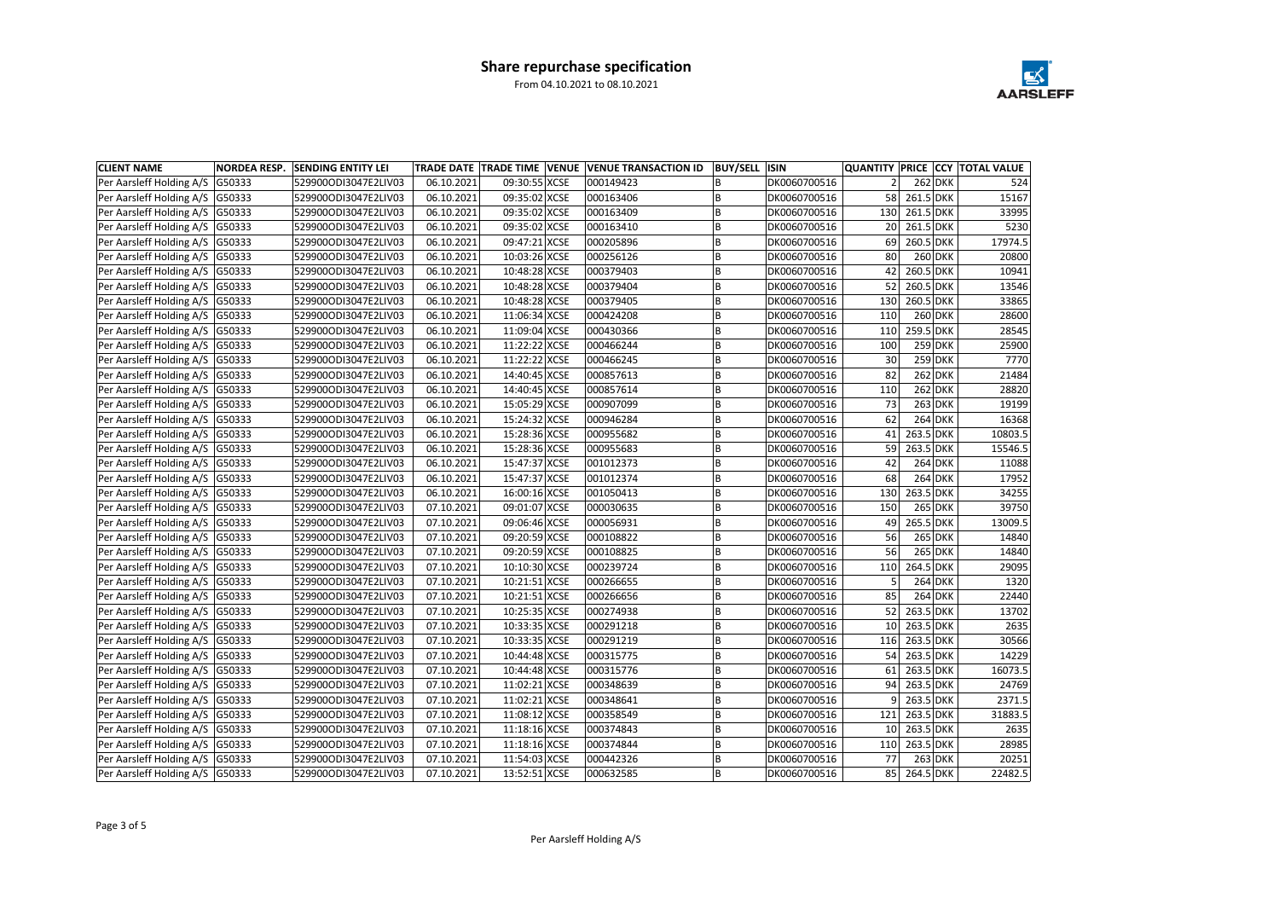| <b>CLIENT NAME</b>                | <b>NORDEA RESP.</b> | <b>SENDING ENTITY LEI</b> |            |               | TRADE DATE   TRADE TIME   VENUE   VENUE TRANSACTION ID | <b>BUY/SELL ISIN</b> |              |     |              |           | <b>QUANTITY PRICE CCY TOTAL VALUE</b> |
|-----------------------------------|---------------------|---------------------------|------------|---------------|--------------------------------------------------------|----------------------|--------------|-----|--------------|-----------|---------------------------------------|
| Per Aarsleff Holding A/S G50333   |                     | 529900ODI3047E2LIV03      | 06.10.2021 | 09:30:55 XCSE | 000149423                                              |                      | DK0060700516 |     |              | $262$ DKK | 524                                   |
| Per Aarsleff Holding A/S G50333   |                     | 529900ODI3047E2LIV03      | 06.10.2021 | 09:35:02 XCSE | 000163406                                              |                      | DK0060700516 | 58  | $261.5$ DKK  |           | 15167                                 |
| Per Aarsleff Holding A/S   G50333 |                     | 529900ODI3047E2LIV03      | 06.10.2021 | 09:35:02 XCSE | 000163409                                              |                      | DK0060700516 | 130 | 261.5 DKK    |           | 33995                                 |
| Per Aarsleff Holding A/S   G50333 |                     | 529900ODI3047E2LIV03      | 06.10.2021 | 09:35:02 XCSE | 000163410                                              |                      | DK0060700516 | 20  | $261.5$ DKK  |           | 5230                                  |
| Per Aarsleff Holding A/S   G50333 |                     | 529900ODI3047E2LIV03      | 06.10.2021 | 09:47:21 XCSE | 000205896                                              |                      | DK0060700516 | 69  | $260.5$ DKK  |           | 17974.5                               |
| Per Aarsleff Holding A/S G50333   |                     | 529900ODI3047E2LIV03      | 06.10.2021 | 10:03:26 XCSE | 000256126                                              |                      | DK0060700516 | 80  |              | $260$ DKK | 20800                                 |
| Per Aarsleff Holding A/S   G50333 |                     | 529900ODI3047E2LIV03      | 06.10.2021 | 10:48:28 XCSE | 000379403                                              |                      | DK0060700516 | 42  | 260.5 DKK    |           | 10941                                 |
| Per Aarsleff Holding A/S   G50333 |                     | 529900ODI3047E2LIV03      | 06.10.2021 | 10:48:28 XCSE | 000379404                                              | B                    | DK0060700516 | 52  | $260.5$ DKK  |           | 13546                                 |
| Per Aarsleff Holding A/S   G50333 |                     | 529900ODI3047E2LIV03      | 06.10.2021 | 10:48:28 XCSE | 000379405                                              |                      | DK0060700516 | 130 | $260.5$ DKK  |           | 33865                                 |
| Per Aarsleff Holding A/S   G50333 |                     | 529900ODI3047E2LIV03      | 06.10.2021 | 11:06:34 XCSE | 000424208                                              |                      | DK0060700516 | 110 |              | $260$ DKK | 28600                                 |
| Per Aarsleff Holding A/S   G50333 |                     | 529900ODI3047E2LIV03      | 06.10.2021 | 11:09:04 XCSE | 000430366                                              |                      | DK0060700516 | 110 | 259.5 DKK    |           | 28545                                 |
| Per Aarsleff Holding A/S   G50333 |                     | 529900ODI3047E2LIV03      | 06.10.2021 | 11:22:22 XCSE | 000466244                                              |                      | DK0060700516 | 100 |              | $259$ DKK | 25900                                 |
| Per Aarsleff Holding A/S   G50333 |                     | 529900ODI3047E2LIV03      | 06.10.2021 | 11:22:22 XCSE | 000466245                                              |                      | DK0060700516 | 30  |              | $259$ DKK | 7770                                  |
| Per Aarsleff Holding A/S   G50333 |                     | 529900ODI3047E2LIV03      | 06.10.2021 | 14:40:45 XCSE | 000857613                                              |                      | DK0060700516 | 82  |              | $262$ DKK | 21484                                 |
| Per Aarsleff Holding A/S G50333   |                     | 529900ODI3047E2LIV03      | 06.10.2021 | 14:40:45 XCSE | 000857614                                              |                      | DK0060700516 | 110 |              | $262$ DKK | 28820                                 |
| Per Aarsleff Holding A/S   G50333 |                     | 529900ODI3047E2LIV03      | 06.10.2021 | 15:05:29 XCSE | 000907099                                              |                      | DK0060700516 | 73  |              | $263$ DKK | 19199                                 |
| Per Aarsleff Holding A/S   G50333 |                     | 529900ODI3047E2LIV03      | 06.10.2021 | 15:24:32 XCSE | 000946284                                              |                      | DK0060700516 | 62  |              | $264$ DKK | 16368                                 |
| Per Aarsleff Holding A/S   G50333 |                     | 529900ODI3047E2LIV03      | 06.10.2021 | 15:28:36 XCSE | 000955682                                              |                      | DK0060700516 | 41  | 263.5 DKK    |           | 10803.5                               |
| Per Aarsleff Holding A/S G50333   |                     | 529900ODI3047E2LIV03      | 06.10.2021 | 15:28:36 XCSE | 000955683                                              |                      | DK0060700516 | 59  | 263.5 DKK    |           | 15546.5                               |
| Per Aarsleff Holding A/S   G50333 |                     | 529900ODI3047E2LIV03      | 06.10.2021 | 15:47:37 XCSE | 001012373                                              |                      | DK0060700516 | 42  |              | $264$ DKK | 11088                                 |
| Per Aarsleff Holding A/S   G50333 |                     | 529900ODI3047E2LIV03      | 06.10.2021 | 15:47:37 XCSE | 001012374                                              |                      | DK0060700516 | 68  |              | $264$ DKK | 17952                                 |
| Per Aarsleff Holding A/S   G50333 |                     | 529900ODI3047E2LIV03      | 06.10.2021 | 16:00:16 XCSE | 001050413                                              |                      | DK0060700516 | 130 | 263.5 DKK    |           | 34255                                 |
| Per Aarsleff Holding A/S   G50333 |                     | 529900ODI3047E2LIV03      | 07.10.2021 | 09:01:07 XCSE | 000030635                                              |                      | DK0060700516 | 150 |              | $265$ DKK | 39750                                 |
| Per Aarsleff Holding A/S   G50333 |                     | 529900ODI3047E2LIV03      | 07.10.2021 | 09:06:46 XCSE | 000056931                                              |                      | DK0060700516 | 49  | 265.5 DKK    |           | 13009.5                               |
| Per Aarsleff Holding A/S   G50333 |                     | 529900ODI3047E2LIV03      | 07.10.2021 | 09:20:59 XCSE | 000108822                                              |                      | DK0060700516 | 56  |              | $265$ DKK | 14840                                 |
| Per Aarsleff Holding A/S   G50333 |                     | 529900ODI3047E2LIV03      | 07.10.2021 | 09:20:59 XCSE | 000108825                                              |                      | DK0060700516 | 56  |              | $265$ DKK | 14840                                 |
| Per Aarsleff Holding A/S G50333   |                     | 529900ODI3047E2LIV03      | 07.10.2021 | 10:10:30 XCSE | 000239724                                              |                      | DK0060700516 | 110 | 264.5 DKK    |           | 29095                                 |
| Per Aarsleff Holding A/S G50333   |                     | 529900ODI3047E2LIV03      | 07.10.2021 | 10:21:51 XCSE | 000266655                                              |                      | DK0060700516 |     |              | $264$ DKK | 1320                                  |
| Per Aarsleff Holding A/S G50333   |                     | 529900ODI3047E2LIV03      | 07.10.2021 | 10:21:51 XCSE | 000266656                                              |                      | DK0060700516 | 85  |              | $264$ DKK | 22440                                 |
| Per Aarsleff Holding A/S   G50333 |                     | 529900ODI3047E2LIV03      | 07.10.2021 | 10:25:35 XCSE | 000274938                                              |                      | DK0060700516 | 52  | $263.5$ DKK  |           | 13702                                 |
| Per Aarsleff Holding A/S G50333   |                     | 529900ODI3047E2LIV03      | 07.10.2021 | 10:33:35 XCSE | 000291218                                              | в                    | DK0060700516 |     | 10 263.5 DKK |           | 2635                                  |
| Per Aarsleff Holding A/S G50333   |                     | 529900ODI3047E2LIV03      | 07.10.2021 | 10:33:35 XCSE | 000291219                                              | B                    | DK0060700516 | 116 | $263.5$ DKK  |           | 30566                                 |
| Per Aarsleff Holding A/S   G50333 |                     | 529900ODI3047E2LIV03      | 07.10.2021 | 10:44:48 XCSE | 000315775                                              | В                    | DK0060700516 | 54  | 263.5 DKK    |           | 14229                                 |
| Per Aarsleff Holding A/S   G50333 |                     | 529900ODI3047E2LIV03      | 07.10.2021 | 10:44:48 XCSE | 000315776                                              | B                    | DK0060700516 | 61  | $263.5$ DKK  |           | 16073.5                               |
| Per Aarsleff Holding A/S   G50333 |                     | 529900ODI3047E2LIV03      | 07.10.2021 | 11:02:21 XCSE | 000348639                                              | B                    | DK0060700516 | 94  | 263.5 DKK    |           | 24769                                 |
| Per Aarsleff Holding A/S G50333   |                     | 529900ODI3047E2LIV03      | 07.10.2021 | 11:02:21 XCSE | 000348641                                              | В                    | DK0060700516 | 91  | 263.5 DKK    |           | 2371.5                                |
| Per Aarsleff Holding A/S G50333   |                     | 529900ODI3047E2LIV03      | 07.10.2021 | 11:08:12 XCSE | 000358549                                              | В                    | DK0060700516 | 121 | 263.5 DKK    |           | 31883.5                               |
| Per Aarsleff Holding A/S   G50333 |                     | 529900ODI3047E2LIV03      | 07.10.2021 | 11:18:16 XCSE | 000374843                                              | B                    | DK0060700516 | 10  | 263.5 DKK    |           | 2635                                  |
| Per Aarsleff Holding A/S   G50333 |                     | 529900ODI3047E2LIV03      | 07.10.2021 | 11:18:16 XCSE | 000374844                                              | В                    | DK0060700516 | 110 | 263.5 DKK    |           | 28985                                 |
| Per Aarsleff Holding A/S G50333   |                     | 529900ODI3047E2LIV03      | 07.10.2021 | 11:54:03 XCSE | 000442326                                              |                      | DK0060700516 | 77  |              | $263$ DKK | 20251                                 |
| Per Aarsleff Holding A/S G50333   |                     | 529900ODI3047E2LIV03      | 07.10.2021 | 13:52:51 XCSE | 000632585                                              | В                    | DK0060700516 |     | 85 264.5 DKK |           | 22482.5                               |

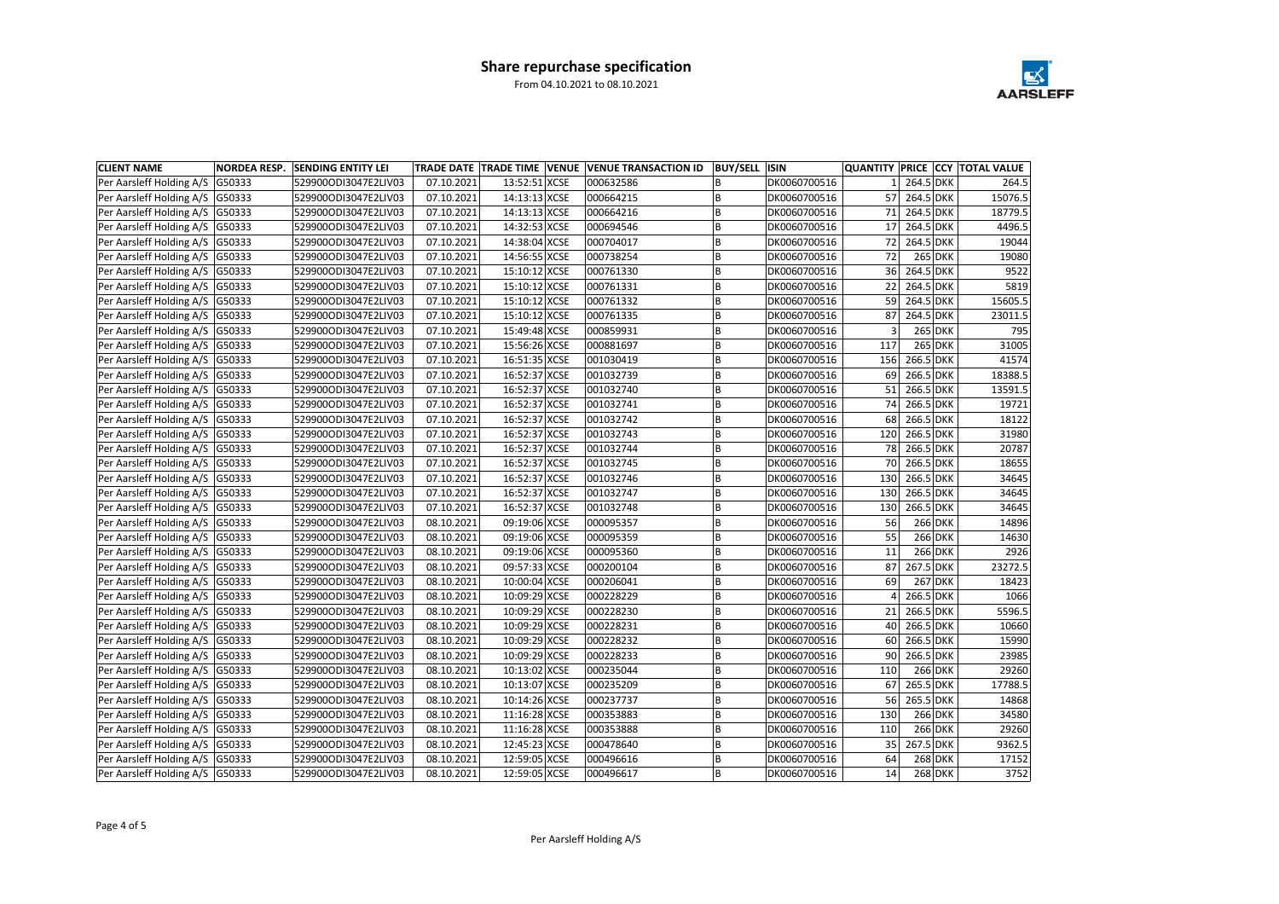| <b>CLIENT NAME</b>                | <b>NORDEA RESP.</b> | <b>SENDING ENTITY LEI</b> |            |               | TRADE DATE TRADE TIME VENUE VENUE TRANSACTION ID | BUY/SELL  ISIN |              |     |              | QUANTITY PRICE CCY TOTAL VALUE |
|-----------------------------------|---------------------|---------------------------|------------|---------------|--------------------------------------------------|----------------|--------------|-----|--------------|--------------------------------|
| Per Aarsleff Holding A/S G50333   |                     | 529900ODI3047E2LIV03      | 07.10.2021 | 13:52:51 XCSE | 000632586                                        |                | DK0060700516 |     | 264.5 DKK    | 264.5                          |
| Per Aarsleff Holding A/S   G50333 |                     | 529900ODI3047E2LIV03      | 07.10.2021 | 14:13:13 XCSE | 000664215                                        |                | DK0060700516 | 57  | 264.5 DKK    | 15076.5                        |
| Per Aarsleff Holding A/S   G50333 |                     | 529900ODI3047E2LIV03      | 07.10.2021 | 14:13:13 XCSE | 000664216                                        |                | DK0060700516 | 71  | 264.5 DKK    | 18779.5                        |
| Per Aarsleff Holding A/S   G50333 |                     | 529900ODI3047E2LIV03      | 07.10.2021 | 14:32:53 XCSE | 000694546                                        |                | DK0060700516 | 17  | 264.5 DKK    | 4496.5                         |
| Per Aarsleff Holding A/S   G50333 |                     | 529900ODI3047E2LIV03      | 07.10.2021 | 14:38:04 XCSE | 000704017                                        | В              | DK0060700516 | 72  | 264.5 DKK    | 19044                          |
| Per Aarsleff Holding A/S G50333   |                     | 529900ODI3047E2LIV03      | 07.10.2021 | 14:56:55 XCSE | 000738254                                        |                | DK0060700516 | 72  | $265$ DKK    | 19080                          |
| Per Aarsleff Holding A/S   G50333 |                     | 529900ODI3047E2LIV03      | 07.10.2021 | 15:10:12 XCSE | 000761330                                        |                | DK0060700516 | 36  | 264.5 DKK    | 9522                           |
| Per Aarsleff Holding A/S   G50333 |                     | 529900ODI3047E2LIV03      | 07.10.2021 | 15:10:12 XCSE | 000761331                                        | В              | DK0060700516 | 22  | 264.5 DKK    | 5819                           |
| Per Aarsleff Holding A/S G50333   |                     | 529900ODI3047E2LIV03      | 07.10.2021 | 15:10:12 XCSE | 000761332                                        |                | DK0060700516 | 59  | 264.5 DKK    | 15605.5                        |
| Per Aarsleff Holding A/S   G50333 |                     | 529900ODI3047E2LIV03      | 07.10.2021 | 15:10:12 XCSE | 000761335                                        |                | DK0060700516 | 87  | 264.5 DKK    | 23011.5                        |
| Per Aarsleff Holding A/S G50333   |                     | 529900ODI3047E2LIV03      | 07.10.2021 | 15:49:48 XCSE | 000859931                                        |                | DK0060700516 |     | $265$ DKK    | 795                            |
| Per Aarsleff Holding A/S   G50333 |                     | 529900ODI3047E2LIV03      | 07.10.2021 | 15:56:26 XCSE | 000881697                                        |                | DK0060700516 | 117 | $265$ DKK    | 31005                          |
| Per Aarsleff Holding A/S   G50333 |                     | 529900ODI3047E2LIV03      | 07.10.2021 | 16:51:35 XCSE | 001030419                                        |                | DK0060700516 | 156 | 266.5 DKK    | 41574                          |
| Per Aarsleff Holding A/S G50333   |                     | 529900ODI3047E2LIV03      | 07.10.2021 | 16:52:37 XCSE | 001032739                                        |                | DK0060700516 | 69  | 266.5 DKK    | 18388.5                        |
| Per Aarsleff Holding A/S   G50333 |                     | 529900ODI3047E2LIV03      | 07.10.2021 | 16:52:37 XCSE | 001032740                                        |                | DK0060700516 | 51  | 266.5 DKK    | 13591.5                        |
| Per Aarsleff Holding A/S   G50333 |                     | 529900ODI3047E2LIV03      | 07.10.2021 | 16:52:37 XCSE | 001032741                                        |                | DK0060700516 | 74  | 266.5 DKK    | 19721                          |
| Per Aarsleff Holding A/S   G50333 |                     | 529900ODI3047E2LIV03      | 07.10.2021 | 16:52:37 XCSE | 001032742                                        |                | DK0060700516 | 68  | 266.5 DKK    | 18122                          |
| Per Aarsleff Holding A/S   G50333 |                     | 529900ODI3047E2LIV03      | 07.10.2021 | 16:52:37 XCSE | 001032743                                        |                | DK0060700516 | 120 | 266.5 DKK    | 31980                          |
| Per Aarsleff Holding A/S G50333   |                     | 529900ODI3047E2LIV03      | 07.10.2021 | 16:52:37 XCSE | 001032744                                        |                | DK0060700516 | 78  | 266.5 DKK    | 20787                          |
| Per Aarsleff Holding A/S   G50333 |                     | 529900ODI3047E2LIV03      | 07.10.2021 | 16:52:37 XCSE | 001032745                                        |                | DK0060700516 | 70  | 266.5 DKK    | 18655                          |
| Per Aarsleff Holding A/S   G50333 |                     | 529900ODI3047E2LIV03      | 07.10.2021 | 16:52:37 XCSE | 001032746                                        | B              | DK0060700516 | 130 | $266.5$ DKK  | 34645                          |
| Per Aarsleff Holding A/S   G50333 |                     | 529900ODI3047E2LIV03      | 07.10.2021 | 16:52:37 XCSE | 001032747                                        |                | DK0060700516 | 130 | 266.5 DKK    | 34645                          |
| Per Aarsleff Holding A/S   G50333 |                     | 529900ODI3047E2LIV03      | 07.10.2021 | 16:52:37 XCSE | 001032748                                        |                | DK0060700516 | 130 | 266.5 DKK    | 34645                          |
| Per Aarsleff Holding A/S   G50333 |                     | 529900ODI3047E2LIV03      | 08.10.2021 | 09:19:06 XCSE | 000095357                                        |                | DK0060700516 | 56  | $266$ DKK    | 14896                          |
| Per Aarsleff Holding A/S   G50333 |                     | 529900ODI3047E2LIV03      | 08.10.2021 | 09:19:06 XCSE | 000095359                                        |                | DK0060700516 | 55  | $266$ DKK    | 14630                          |
| Per Aarsleff Holding A/S   G50333 |                     | 529900ODI3047E2LIV03      | 08.10.2021 | 09:19:06 XCSE | 000095360                                        |                | DK0060700516 | 11  | $266$ DKK    | 2926                           |
| Per Aarsleff Holding A/S G50333   |                     | 529900ODI3047E2LIV03      | 08.10.2021 | 09:57:33 XCSE | 000200104                                        |                | DK0060700516 | 87  | 267.5 DKK    | 23272.5                        |
| Per Aarsleff Holding A/S   G50333 |                     | 529900ODI3047E2LIV03      | 08.10.2021 | 10:00:04 XCSE | 000206041                                        |                | DK0060700516 | 69  | $267$ DKK    | 18423                          |
| Per Aarsleff Holding A/S G50333   |                     | 529900ODI3047E2LIV03      | 08.10.2021 | 10:09:29 XCSE | 000228229                                        |                | DK0060700516 |     | 266.5 DKK    | 1066                           |
| Per Aarsleff Holding A/S   G50333 |                     | 529900ODI3047E2LIV03      | 08.10.2021 | 10:09:29 XCSE | 000228230                                        |                | DK0060700516 | 21  | 266.5 DKK    | 5596.5                         |
| Per Aarsleff Holding A/S G50333   |                     | 529900ODI3047E2LIV03      | 08.10.2021 | 10:09:29 XCSE | 000228231                                        | в              | DK0060700516 |     | 40 266.5 DKK | 10660                          |
| Per Aarsleff Holding A/S G50333   |                     | 529900ODI3047E2LIV03      | 08.10.2021 | 10:09:29 XCSE | 000228232                                        |                | DK0060700516 | 60  | 266.5 DKK    | 15990                          |
| Per Aarsleff Holding A/S   G50333 |                     | 529900ODI3047E2LIV03      | 08.10.2021 | 10:09:29 XCSE | 000228233                                        | В              | DK0060700516 | 90  | 266.5 DKK    | 23985                          |
| Per Aarsleff Holding A/S   G50333 |                     | 529900ODI3047E2LIV03      | 08.10.2021 | 10:13:02 XCSE | 000235044                                        | B              | DK0060700516 | 110 | $266$ DKK    | 29260                          |
| Per Aarsleff Holding A/S G50333   |                     | 529900ODI3047E2LIV03      | 08.10.2021 | 10:13:07 XCSE | 000235209                                        | B              | DK0060700516 | 67  | 265.5 DKK    | 17788.5                        |
| Per Aarsleff Holding A/S G50333   |                     | 529900ODI3047E2LIV03      | 08.10.2021 | 10:14:26 XCSE | 000237737                                        | В              | DK0060700516 | 56  | 265.5 DKK    | 14868                          |
| Per Aarsleff Holding A/S G50333   |                     | 529900ODI3047E2LIV03      | 08.10.2021 | 11:16:28 XCSE | 000353883                                        | В              | DK0060700516 | 130 | $266$ DKK    | 34580                          |
| Per Aarsleff Holding A/S G50333   |                     | 529900ODI3047E2LIV03      | 08.10.2021 | 11:16:28 XCSE | 000353888                                        | В              | DK0060700516 | 110 | $266$ DKK    | 29260                          |
| Per Aarsleff Holding A/S G50333   |                     | 529900ODI3047E2LIV03      | 08.10.2021 | 12:45:23 XCSE | 000478640                                        | B              | DK0060700516 | 35  | 267.5 DKK    | 9362.5                         |
| Per Aarsleff Holding A/S G50333   |                     | 529900ODI3047E2LIV03      | 08.10.2021 | 12:59:05 XCSE | 000496616                                        |                | DK0060700516 | 64  | $268$ DKK    | 17152                          |
| Per Aarsleff Holding A/S   G50333 |                     | 529900ODI3047E2LIV03      | 08.10.2021 | 12:59:05 XCSE | 000496617                                        | B              | DK0060700516 | 14  | $268$ DKK    | 3752                           |